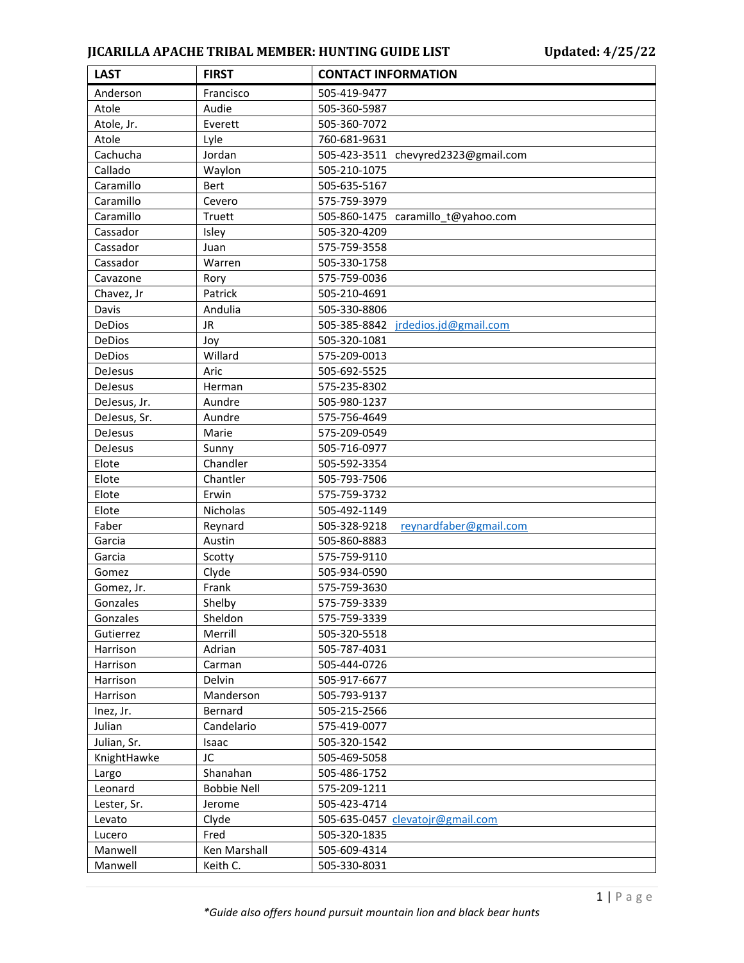## **JICARILLA APACHE TRIBAL MEMBER: HUNTING GUIDE LIST Updated: 4/25/22**

| <b>LAST</b>   | <b>FIRST</b>       | <b>CONTACT INFORMATION</b>             |
|---------------|--------------------|----------------------------------------|
| Anderson      | Francisco          | 505-419-9477                           |
| Atole         | Audie              | 505-360-5987                           |
| Atole, Jr.    | Everett            | 505-360-7072                           |
| Atole         | Lyle               | 760-681-9631                           |
| Cachucha      | Jordan             | 505-423-3511 chevyred2323@gmail.com    |
| Callado       | Waylon             | 505-210-1075                           |
| Caramillo     | Bert               | 505-635-5167                           |
| Caramillo     | Cevero             | 575-759-3979                           |
| Caramillo     | Truett             | 505-860-1475 caramillo_t@yahoo.com     |
| Cassador      | Isley              | 505-320-4209                           |
| Cassador      | Juan               | 575-759-3558                           |
| Cassador      | Warren             | 505-330-1758                           |
| Cavazone      | Rory               | 575-759-0036                           |
| Chavez, Jr    | Patrick            | 505-210-4691                           |
| Davis         | Andulia            | 505-330-8806                           |
| DeDios        | <b>JR</b>          | 505-385-8842 jrdedios.jd@gmail.com     |
| DeDios        | Joy                | 505-320-1081                           |
| <b>DeDios</b> | Willard            | 575-209-0013                           |
| DeJesus       | Aric               | 505-692-5525                           |
| DeJesus       | Herman             | 575-235-8302                           |
| DeJesus, Jr.  | Aundre             | 505-980-1237                           |
| DeJesus, Sr.  | Aundre             | 575-756-4649                           |
| DeJesus       | Marie              | 575-209-0549                           |
| DeJesus       | Sunny              | 505-716-0977                           |
| Elote         | Chandler           | 505-592-3354                           |
| Elote         | Chantler           | 505-793-7506                           |
| Elote         | Erwin              | 575-759-3732                           |
| Elote         | Nicholas           | 505-492-1149                           |
| Faber         | Reynard            | 505-328-9218<br>reynardfaber@gmail.com |
| Garcia        | Austin             | 505-860-8883                           |
| Garcia        | Scotty             | 575-759-9110                           |
| Gomez         | Clyde              | 505-934-0590                           |
| Gomez, Jr.    | Frank              | 575-759-3630                           |
| Gonzales      | Shelby             | 575-759-3339                           |
| Gonzales      | Sheldon            | 575-759-3339                           |
| Gutierrez     | Merrill            | 505-320-5518                           |
| Harrison      | Adrian             | 505-787-4031                           |
| Harrison      | Carman             | 505-444-0726                           |
| Harrison      | Delvin             | 505-917-6677                           |
| Harrison      | Manderson          | 505-793-9137                           |
| Inez, Jr.     | Bernard            | 505-215-2566                           |
| Julian        | Candelario         | 575-419-0077                           |
| Julian, Sr.   | Isaac              | 505-320-1542                           |
| KnightHawke   | JC                 | 505-469-5058                           |
| Largo         | Shanahan           | 505-486-1752                           |
| Leonard       | <b>Bobbie Nell</b> | 575-209-1211                           |
| Lester, Sr.   | Jerome             | 505-423-4714                           |
| Levato        | Clyde              | 505-635-0457 clevatojr@gmail.com       |
| Lucero        | Fred               | 505-320-1835                           |
| Manwell       | Ken Marshall       | 505-609-4314                           |
| Manwell       | Keith C.           | 505-330-8031                           |
|               |                    |                                        |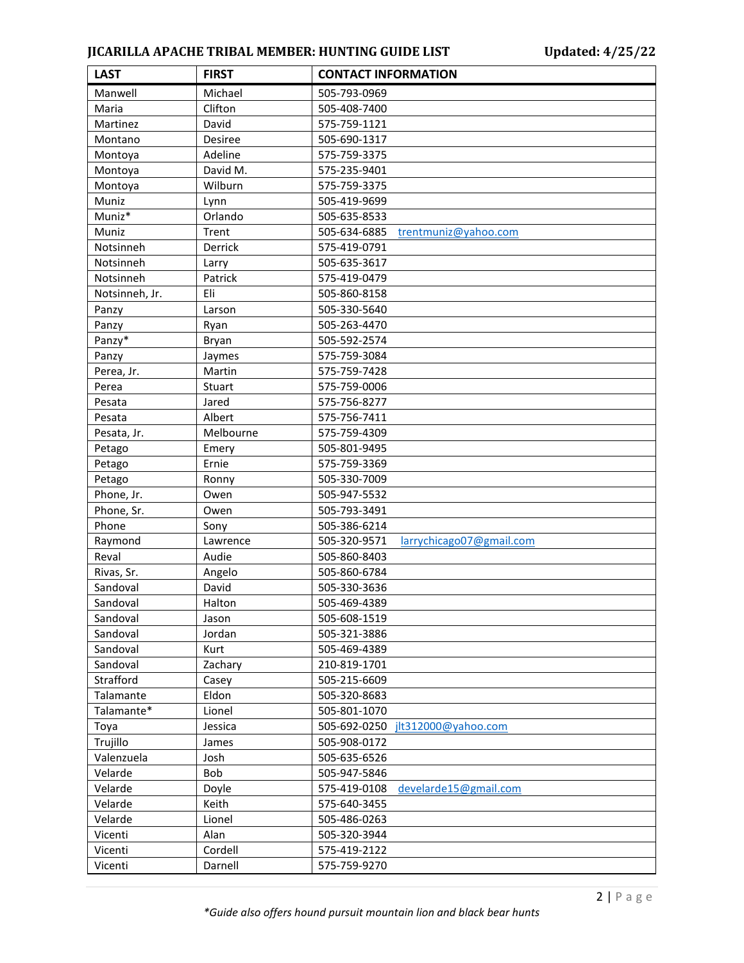## **JICARILLA APACHE TRIBAL MEMBER: HUNTING GUIDE LIST Updated: 4/25/22**

| Manwell<br>Michael<br>505-793-0969<br>Clifton<br>Maria<br>505-408-7400<br>Martinez<br>David<br>575-759-1121<br>Montano<br>Desiree<br>505-690-1317<br>Adeline<br>575-759-3375<br>Montoya<br>David M.<br>575-235-9401<br>Montoya<br>Wilburn<br>575-759-3375<br>Montoya<br>Muniz<br>505-419-9699<br>Lynn<br>Muniz*<br>Orlando<br>505-635-8533<br>Muniz<br>Trent<br>505-634-6885<br>trentmuniz@yahoo.com<br>Notsinneh<br>Derrick<br>575-419-0791<br>Notsinneh<br>505-635-3617<br>Larry<br>Notsinneh<br>Patrick<br>575-419-0479<br>Eli<br>Notsinneh, Jr.<br>505-860-8158<br>Panzy<br>Larson<br>505-330-5640<br>Panzy<br>505-263-4470<br>Ryan<br>Panzy*<br>505-592-2574<br>Bryan<br>575-759-3084<br>Panzy<br>Jaymes<br>Perea, Jr.<br>Martin<br>575-759-7428<br>Perea<br>Stuart<br>575-759-0006<br>Jared<br>575-756-8277<br>Pesata<br>Albert<br>575-756-7411<br>Pesata<br>575-759-4309<br>Pesata, Jr.<br>Melbourne<br>505-801-9495<br>Petago<br>Emery<br>Petago<br>Ernie<br>575-759-3369<br>505-330-7009<br>Petago<br>Ronny<br>Phone, Jr.<br>Owen<br>505-947-5532<br>Phone, Sr.<br>505-793-3491<br>Owen<br>Phone<br>505-386-6214<br>Sony<br>Raymond<br>505-320-9571<br>Lawrence<br>larrychicago07@gmail.com<br>505-860-8403<br>Reval<br>Audie<br>Rivas, Sr.<br>Angelo<br>505-860-6784<br>David<br>Sandoval<br>505-330-3636<br>Sandoval<br>Halton<br>505-469-4389<br>Sandoval<br>505-608-1519<br>Jason<br>Sandoval<br>Jordan<br>505-321-3886<br>505-469-4389<br>Sandoval<br>Kurt<br>Sandoval<br>Zachary<br>210-819-1701<br>Strafford<br>505-215-6609<br>Casey<br>Eldon<br>505-320-8683<br>Talamante<br>Talamante*<br>Lionel<br>505-801-1070<br>Toya<br>505-692-0250<br>Jessica<br>jlt312000@yahoo.com<br>Trujillo<br>505-908-0172<br>James<br>Valenzuela<br>505-635-6526<br>Josh<br>505-947-5846<br>Velarde<br>Bob<br>Velarde<br>575-419-0108<br>develarde15@gmail.com<br>Doyle<br>575-640-3455<br>Velarde<br>Keith<br>505-486-0263<br>Velarde<br>Lionel<br>Alan<br>505-320-3944<br>Vicenti<br>Vicenti<br>Cordell<br>575-419-2122 | <b>LAST</b> | <b>FIRST</b> | <b>CONTACT INFORMATION</b> |
|---------------------------------------------------------------------------------------------------------------------------------------------------------------------------------------------------------------------------------------------------------------------------------------------------------------------------------------------------------------------------------------------------------------------------------------------------------------------------------------------------------------------------------------------------------------------------------------------------------------------------------------------------------------------------------------------------------------------------------------------------------------------------------------------------------------------------------------------------------------------------------------------------------------------------------------------------------------------------------------------------------------------------------------------------------------------------------------------------------------------------------------------------------------------------------------------------------------------------------------------------------------------------------------------------------------------------------------------------------------------------------------------------------------------------------------------------------------------------------------------------------------------------------------------------------------------------------------------------------------------------------------------------------------------------------------------------------------------------------------------------------------------------------------------------------------------------------------------------------------------------------------------------------------------------------------------------------------------------------------------------------------------------|-------------|--------------|----------------------------|
|                                                                                                                                                                                                                                                                                                                                                                                                                                                                                                                                                                                                                                                                                                                                                                                                                                                                                                                                                                                                                                                                                                                                                                                                                                                                                                                                                                                                                                                                                                                                                                                                                                                                                                                                                                                                                                                                                                                                                                                                                           |             |              |                            |
|                                                                                                                                                                                                                                                                                                                                                                                                                                                                                                                                                                                                                                                                                                                                                                                                                                                                                                                                                                                                                                                                                                                                                                                                                                                                                                                                                                                                                                                                                                                                                                                                                                                                                                                                                                                                                                                                                                                                                                                                                           |             |              |                            |
|                                                                                                                                                                                                                                                                                                                                                                                                                                                                                                                                                                                                                                                                                                                                                                                                                                                                                                                                                                                                                                                                                                                                                                                                                                                                                                                                                                                                                                                                                                                                                                                                                                                                                                                                                                                                                                                                                                                                                                                                                           |             |              |                            |
|                                                                                                                                                                                                                                                                                                                                                                                                                                                                                                                                                                                                                                                                                                                                                                                                                                                                                                                                                                                                                                                                                                                                                                                                                                                                                                                                                                                                                                                                                                                                                                                                                                                                                                                                                                                                                                                                                                                                                                                                                           |             |              |                            |
|                                                                                                                                                                                                                                                                                                                                                                                                                                                                                                                                                                                                                                                                                                                                                                                                                                                                                                                                                                                                                                                                                                                                                                                                                                                                                                                                                                                                                                                                                                                                                                                                                                                                                                                                                                                                                                                                                                                                                                                                                           |             |              |                            |
|                                                                                                                                                                                                                                                                                                                                                                                                                                                                                                                                                                                                                                                                                                                                                                                                                                                                                                                                                                                                                                                                                                                                                                                                                                                                                                                                                                                                                                                                                                                                                                                                                                                                                                                                                                                                                                                                                                                                                                                                                           |             |              |                            |
|                                                                                                                                                                                                                                                                                                                                                                                                                                                                                                                                                                                                                                                                                                                                                                                                                                                                                                                                                                                                                                                                                                                                                                                                                                                                                                                                                                                                                                                                                                                                                                                                                                                                                                                                                                                                                                                                                                                                                                                                                           |             |              |                            |
|                                                                                                                                                                                                                                                                                                                                                                                                                                                                                                                                                                                                                                                                                                                                                                                                                                                                                                                                                                                                                                                                                                                                                                                                                                                                                                                                                                                                                                                                                                                                                                                                                                                                                                                                                                                                                                                                                                                                                                                                                           |             |              |                            |
|                                                                                                                                                                                                                                                                                                                                                                                                                                                                                                                                                                                                                                                                                                                                                                                                                                                                                                                                                                                                                                                                                                                                                                                                                                                                                                                                                                                                                                                                                                                                                                                                                                                                                                                                                                                                                                                                                                                                                                                                                           |             |              |                            |
|                                                                                                                                                                                                                                                                                                                                                                                                                                                                                                                                                                                                                                                                                                                                                                                                                                                                                                                                                                                                                                                                                                                                                                                                                                                                                                                                                                                                                                                                                                                                                                                                                                                                                                                                                                                                                                                                                                                                                                                                                           |             |              |                            |
|                                                                                                                                                                                                                                                                                                                                                                                                                                                                                                                                                                                                                                                                                                                                                                                                                                                                                                                                                                                                                                                                                                                                                                                                                                                                                                                                                                                                                                                                                                                                                                                                                                                                                                                                                                                                                                                                                                                                                                                                                           |             |              |                            |
|                                                                                                                                                                                                                                                                                                                                                                                                                                                                                                                                                                                                                                                                                                                                                                                                                                                                                                                                                                                                                                                                                                                                                                                                                                                                                                                                                                                                                                                                                                                                                                                                                                                                                                                                                                                                                                                                                                                                                                                                                           |             |              |                            |
|                                                                                                                                                                                                                                                                                                                                                                                                                                                                                                                                                                                                                                                                                                                                                                                                                                                                                                                                                                                                                                                                                                                                                                                                                                                                                                                                                                                                                                                                                                                                                                                                                                                                                                                                                                                                                                                                                                                                                                                                                           |             |              |                            |
|                                                                                                                                                                                                                                                                                                                                                                                                                                                                                                                                                                                                                                                                                                                                                                                                                                                                                                                                                                                                                                                                                                                                                                                                                                                                                                                                                                                                                                                                                                                                                                                                                                                                                                                                                                                                                                                                                                                                                                                                                           |             |              |                            |
|                                                                                                                                                                                                                                                                                                                                                                                                                                                                                                                                                                                                                                                                                                                                                                                                                                                                                                                                                                                                                                                                                                                                                                                                                                                                                                                                                                                                                                                                                                                                                                                                                                                                                                                                                                                                                                                                                                                                                                                                                           |             |              |                            |
|                                                                                                                                                                                                                                                                                                                                                                                                                                                                                                                                                                                                                                                                                                                                                                                                                                                                                                                                                                                                                                                                                                                                                                                                                                                                                                                                                                                                                                                                                                                                                                                                                                                                                                                                                                                                                                                                                                                                                                                                                           |             |              |                            |
|                                                                                                                                                                                                                                                                                                                                                                                                                                                                                                                                                                                                                                                                                                                                                                                                                                                                                                                                                                                                                                                                                                                                                                                                                                                                                                                                                                                                                                                                                                                                                                                                                                                                                                                                                                                                                                                                                                                                                                                                                           |             |              |                            |
|                                                                                                                                                                                                                                                                                                                                                                                                                                                                                                                                                                                                                                                                                                                                                                                                                                                                                                                                                                                                                                                                                                                                                                                                                                                                                                                                                                                                                                                                                                                                                                                                                                                                                                                                                                                                                                                                                                                                                                                                                           |             |              |                            |
|                                                                                                                                                                                                                                                                                                                                                                                                                                                                                                                                                                                                                                                                                                                                                                                                                                                                                                                                                                                                                                                                                                                                                                                                                                                                                                                                                                                                                                                                                                                                                                                                                                                                                                                                                                                                                                                                                                                                                                                                                           |             |              |                            |
|                                                                                                                                                                                                                                                                                                                                                                                                                                                                                                                                                                                                                                                                                                                                                                                                                                                                                                                                                                                                                                                                                                                                                                                                                                                                                                                                                                                                                                                                                                                                                                                                                                                                                                                                                                                                                                                                                                                                                                                                                           |             |              |                            |
|                                                                                                                                                                                                                                                                                                                                                                                                                                                                                                                                                                                                                                                                                                                                                                                                                                                                                                                                                                                                                                                                                                                                                                                                                                                                                                                                                                                                                                                                                                                                                                                                                                                                                                                                                                                                                                                                                                                                                                                                                           |             |              |                            |
|                                                                                                                                                                                                                                                                                                                                                                                                                                                                                                                                                                                                                                                                                                                                                                                                                                                                                                                                                                                                                                                                                                                                                                                                                                                                                                                                                                                                                                                                                                                                                                                                                                                                                                                                                                                                                                                                                                                                                                                                                           |             |              |                            |
|                                                                                                                                                                                                                                                                                                                                                                                                                                                                                                                                                                                                                                                                                                                                                                                                                                                                                                                                                                                                                                                                                                                                                                                                                                                                                                                                                                                                                                                                                                                                                                                                                                                                                                                                                                                                                                                                                                                                                                                                                           |             |              |                            |
|                                                                                                                                                                                                                                                                                                                                                                                                                                                                                                                                                                                                                                                                                                                                                                                                                                                                                                                                                                                                                                                                                                                                                                                                                                                                                                                                                                                                                                                                                                                                                                                                                                                                                                                                                                                                                                                                                                                                                                                                                           |             |              |                            |
|                                                                                                                                                                                                                                                                                                                                                                                                                                                                                                                                                                                                                                                                                                                                                                                                                                                                                                                                                                                                                                                                                                                                                                                                                                                                                                                                                                                                                                                                                                                                                                                                                                                                                                                                                                                                                                                                                                                                                                                                                           |             |              |                            |
|                                                                                                                                                                                                                                                                                                                                                                                                                                                                                                                                                                                                                                                                                                                                                                                                                                                                                                                                                                                                                                                                                                                                                                                                                                                                                                                                                                                                                                                                                                                                                                                                                                                                                                                                                                                                                                                                                                                                                                                                                           |             |              |                            |
|                                                                                                                                                                                                                                                                                                                                                                                                                                                                                                                                                                                                                                                                                                                                                                                                                                                                                                                                                                                                                                                                                                                                                                                                                                                                                                                                                                                                                                                                                                                                                                                                                                                                                                                                                                                                                                                                                                                                                                                                                           |             |              |                            |
|                                                                                                                                                                                                                                                                                                                                                                                                                                                                                                                                                                                                                                                                                                                                                                                                                                                                                                                                                                                                                                                                                                                                                                                                                                                                                                                                                                                                                                                                                                                                                                                                                                                                                                                                                                                                                                                                                                                                                                                                                           |             |              |                            |
|                                                                                                                                                                                                                                                                                                                                                                                                                                                                                                                                                                                                                                                                                                                                                                                                                                                                                                                                                                                                                                                                                                                                                                                                                                                                                                                                                                                                                                                                                                                                                                                                                                                                                                                                                                                                                                                                                                                                                                                                                           |             |              |                            |
|                                                                                                                                                                                                                                                                                                                                                                                                                                                                                                                                                                                                                                                                                                                                                                                                                                                                                                                                                                                                                                                                                                                                                                                                                                                                                                                                                                                                                                                                                                                                                                                                                                                                                                                                                                                                                                                                                                                                                                                                                           |             |              |                            |
|                                                                                                                                                                                                                                                                                                                                                                                                                                                                                                                                                                                                                                                                                                                                                                                                                                                                                                                                                                                                                                                                                                                                                                                                                                                                                                                                                                                                                                                                                                                                                                                                                                                                                                                                                                                                                                                                                                                                                                                                                           |             |              |                            |
|                                                                                                                                                                                                                                                                                                                                                                                                                                                                                                                                                                                                                                                                                                                                                                                                                                                                                                                                                                                                                                                                                                                                                                                                                                                                                                                                                                                                                                                                                                                                                                                                                                                                                                                                                                                                                                                                                                                                                                                                                           |             |              |                            |
|                                                                                                                                                                                                                                                                                                                                                                                                                                                                                                                                                                                                                                                                                                                                                                                                                                                                                                                                                                                                                                                                                                                                                                                                                                                                                                                                                                                                                                                                                                                                                                                                                                                                                                                                                                                                                                                                                                                                                                                                                           |             |              |                            |
|                                                                                                                                                                                                                                                                                                                                                                                                                                                                                                                                                                                                                                                                                                                                                                                                                                                                                                                                                                                                                                                                                                                                                                                                                                                                                                                                                                                                                                                                                                                                                                                                                                                                                                                                                                                                                                                                                                                                                                                                                           |             |              |                            |
|                                                                                                                                                                                                                                                                                                                                                                                                                                                                                                                                                                                                                                                                                                                                                                                                                                                                                                                                                                                                                                                                                                                                                                                                                                                                                                                                                                                                                                                                                                                                                                                                                                                                                                                                                                                                                                                                                                                                                                                                                           |             |              |                            |
|                                                                                                                                                                                                                                                                                                                                                                                                                                                                                                                                                                                                                                                                                                                                                                                                                                                                                                                                                                                                                                                                                                                                                                                                                                                                                                                                                                                                                                                                                                                                                                                                                                                                                                                                                                                                                                                                                                                                                                                                                           |             |              |                            |
|                                                                                                                                                                                                                                                                                                                                                                                                                                                                                                                                                                                                                                                                                                                                                                                                                                                                                                                                                                                                                                                                                                                                                                                                                                                                                                                                                                                                                                                                                                                                                                                                                                                                                                                                                                                                                                                                                                                                                                                                                           |             |              |                            |
|                                                                                                                                                                                                                                                                                                                                                                                                                                                                                                                                                                                                                                                                                                                                                                                                                                                                                                                                                                                                                                                                                                                                                                                                                                                                                                                                                                                                                                                                                                                                                                                                                                                                                                                                                                                                                                                                                                                                                                                                                           |             |              |                            |
|                                                                                                                                                                                                                                                                                                                                                                                                                                                                                                                                                                                                                                                                                                                                                                                                                                                                                                                                                                                                                                                                                                                                                                                                                                                                                                                                                                                                                                                                                                                                                                                                                                                                                                                                                                                                                                                                                                                                                                                                                           |             |              |                            |
|                                                                                                                                                                                                                                                                                                                                                                                                                                                                                                                                                                                                                                                                                                                                                                                                                                                                                                                                                                                                                                                                                                                                                                                                                                                                                                                                                                                                                                                                                                                                                                                                                                                                                                                                                                                                                                                                                                                                                                                                                           |             |              |                            |
|                                                                                                                                                                                                                                                                                                                                                                                                                                                                                                                                                                                                                                                                                                                                                                                                                                                                                                                                                                                                                                                                                                                                                                                                                                                                                                                                                                                                                                                                                                                                                                                                                                                                                                                                                                                                                                                                                                                                                                                                                           |             |              |                            |
|                                                                                                                                                                                                                                                                                                                                                                                                                                                                                                                                                                                                                                                                                                                                                                                                                                                                                                                                                                                                                                                                                                                                                                                                                                                                                                                                                                                                                                                                                                                                                                                                                                                                                                                                                                                                                                                                                                                                                                                                                           |             |              |                            |
|                                                                                                                                                                                                                                                                                                                                                                                                                                                                                                                                                                                                                                                                                                                                                                                                                                                                                                                                                                                                                                                                                                                                                                                                                                                                                                                                                                                                                                                                                                                                                                                                                                                                                                                                                                                                                                                                                                                                                                                                                           |             |              |                            |
|                                                                                                                                                                                                                                                                                                                                                                                                                                                                                                                                                                                                                                                                                                                                                                                                                                                                                                                                                                                                                                                                                                                                                                                                                                                                                                                                                                                                                                                                                                                                                                                                                                                                                                                                                                                                                                                                                                                                                                                                                           |             |              |                            |
|                                                                                                                                                                                                                                                                                                                                                                                                                                                                                                                                                                                                                                                                                                                                                                                                                                                                                                                                                                                                                                                                                                                                                                                                                                                                                                                                                                                                                                                                                                                                                                                                                                                                                                                                                                                                                                                                                                                                                                                                                           |             |              |                            |
|                                                                                                                                                                                                                                                                                                                                                                                                                                                                                                                                                                                                                                                                                                                                                                                                                                                                                                                                                                                                                                                                                                                                                                                                                                                                                                                                                                                                                                                                                                                                                                                                                                                                                                                                                                                                                                                                                                                                                                                                                           |             |              |                            |
|                                                                                                                                                                                                                                                                                                                                                                                                                                                                                                                                                                                                                                                                                                                                                                                                                                                                                                                                                                                                                                                                                                                                                                                                                                                                                                                                                                                                                                                                                                                                                                                                                                                                                                                                                                                                                                                                                                                                                                                                                           |             |              |                            |
|                                                                                                                                                                                                                                                                                                                                                                                                                                                                                                                                                                                                                                                                                                                                                                                                                                                                                                                                                                                                                                                                                                                                                                                                                                                                                                                                                                                                                                                                                                                                                                                                                                                                                                                                                                                                                                                                                                                                                                                                                           |             |              |                            |
|                                                                                                                                                                                                                                                                                                                                                                                                                                                                                                                                                                                                                                                                                                                                                                                                                                                                                                                                                                                                                                                                                                                                                                                                                                                                                                                                                                                                                                                                                                                                                                                                                                                                                                                                                                                                                                                                                                                                                                                                                           |             |              |                            |
|                                                                                                                                                                                                                                                                                                                                                                                                                                                                                                                                                                                                                                                                                                                                                                                                                                                                                                                                                                                                                                                                                                                                                                                                                                                                                                                                                                                                                                                                                                                                                                                                                                                                                                                                                                                                                                                                                                                                                                                                                           |             |              |                            |
|                                                                                                                                                                                                                                                                                                                                                                                                                                                                                                                                                                                                                                                                                                                                                                                                                                                                                                                                                                                                                                                                                                                                                                                                                                                                                                                                                                                                                                                                                                                                                                                                                                                                                                                                                                                                                                                                                                                                                                                                                           | Vicenti     | Darnell      | 575-759-9270               |